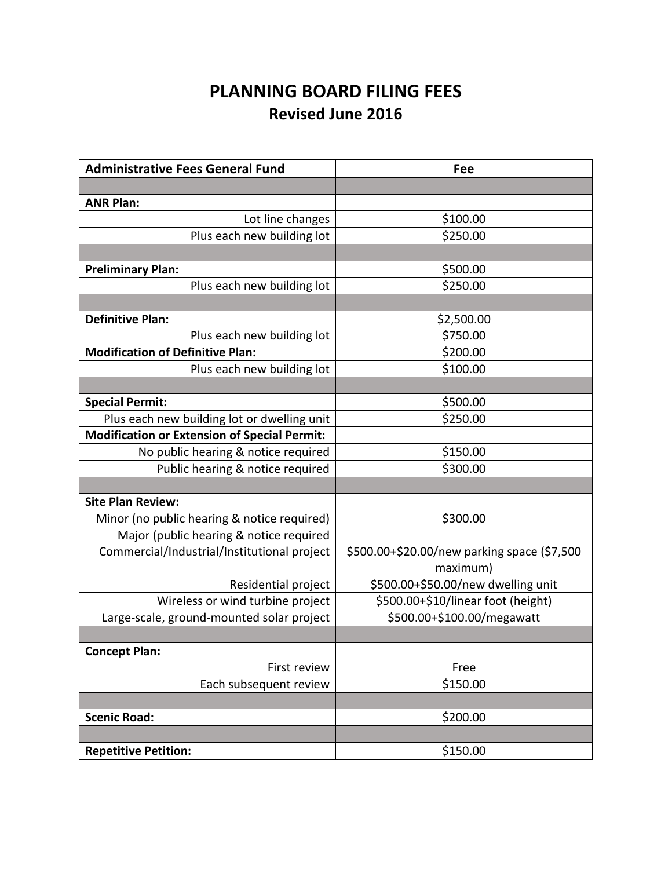## **PLANNING BOARD FILING FEES Revised June 2016**

| <b>Administrative Fees General Fund</b>             | Fee                                         |
|-----------------------------------------------------|---------------------------------------------|
|                                                     |                                             |
| <b>ANR Plan:</b>                                    |                                             |
| Lot line changes                                    | \$100.00                                    |
| Plus each new building lot                          | \$250.00                                    |
|                                                     |                                             |
| <b>Preliminary Plan:</b>                            | \$500.00                                    |
| Plus each new building lot                          | \$250.00                                    |
|                                                     |                                             |
| <b>Definitive Plan:</b>                             | \$2,500.00                                  |
| Plus each new building lot                          | \$750.00                                    |
| <b>Modification of Definitive Plan:</b>             | \$200.00                                    |
| Plus each new building lot                          | \$100.00                                    |
|                                                     |                                             |
| <b>Special Permit:</b>                              | \$500.00                                    |
| Plus each new building lot or dwelling unit         | \$250.00                                    |
| <b>Modification or Extension of Special Permit:</b> |                                             |
| No public hearing & notice required                 | \$150.00                                    |
| Public hearing & notice required                    | \$300.00                                    |
|                                                     |                                             |
| <b>Site Plan Review:</b>                            |                                             |
| Minor (no public hearing & notice required)         | \$300.00                                    |
| Major (public hearing & notice required             |                                             |
| Commercial/Industrial/Institutional project         | \$500.00+\$20.00/new parking space (\$7,500 |
|                                                     | maximum)                                    |
| Residential project                                 | \$500.00+\$50.00/new dwelling unit          |
| Wireless or wind turbine project                    | \$500.00+\$10/linear foot (height)          |
| Large-scale, ground-mounted solar project           | \$500.00+\$100.00/megawatt                  |
|                                                     |                                             |
| <b>Concept Plan:</b>                                |                                             |
| First review                                        | Free                                        |
| Each subsequent review                              | \$150.00                                    |
|                                                     |                                             |
| <b>Scenic Road:</b>                                 | \$200.00                                    |
|                                                     |                                             |
| <b>Repetitive Petition:</b>                         | \$150.00                                    |